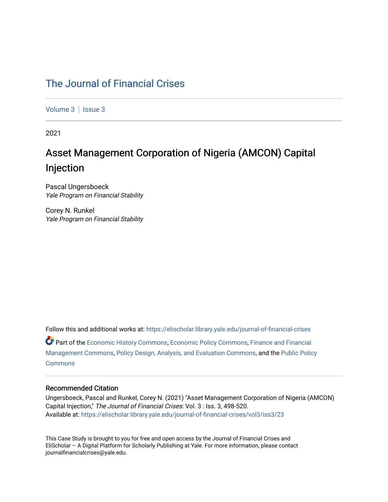# [The Journal of Financial Crises](https://elischolar.library.yale.edu/journal-of-financial-crises)

[Volume 3](https://elischolar.library.yale.edu/journal-of-financial-crises/vol3) | Issue 3

2021

# Asset Management Corporation of Nigeria (AMCON) Capital Injection

Pascal Ungersboeck Yale Program on Financial Stability

Corey N. Runkel Yale Program on Financial Stability

Follow this and additional works at: [https://elischolar.library.yale.edu/journal-of-financial-crises](https://elischolar.library.yale.edu/journal-of-financial-crises?utm_source=elischolar.library.yale.edu%2Fjournal-of-financial-crises%2Fvol3%2Fiss3%2F23&utm_medium=PDF&utm_campaign=PDFCoverPages)  Part of the [Economic History Commons](http://network.bepress.com/hgg/discipline/343?utm_source=elischolar.library.yale.edu%2Fjournal-of-financial-crises%2Fvol3%2Fiss3%2F23&utm_medium=PDF&utm_campaign=PDFCoverPages), [Economic Policy Commons,](http://network.bepress.com/hgg/discipline/1025?utm_source=elischolar.library.yale.edu%2Fjournal-of-financial-crises%2Fvol3%2Fiss3%2F23&utm_medium=PDF&utm_campaign=PDFCoverPages) [Finance and Financial](http://network.bepress.com/hgg/discipline/631?utm_source=elischolar.library.yale.edu%2Fjournal-of-financial-crises%2Fvol3%2Fiss3%2F23&utm_medium=PDF&utm_campaign=PDFCoverPages)  [Management Commons](http://network.bepress.com/hgg/discipline/631?utm_source=elischolar.library.yale.edu%2Fjournal-of-financial-crises%2Fvol3%2Fiss3%2F23&utm_medium=PDF&utm_campaign=PDFCoverPages), [Policy Design, Analysis, and Evaluation Commons,](http://network.bepress.com/hgg/discipline/1032?utm_source=elischolar.library.yale.edu%2Fjournal-of-financial-crises%2Fvol3%2Fiss3%2F23&utm_medium=PDF&utm_campaign=PDFCoverPages) and the [Public Policy](http://network.bepress.com/hgg/discipline/400?utm_source=elischolar.library.yale.edu%2Fjournal-of-financial-crises%2Fvol3%2Fiss3%2F23&utm_medium=PDF&utm_campaign=PDFCoverPages)  **[Commons](http://network.bepress.com/hgg/discipline/400?utm_source=elischolar.library.yale.edu%2Fjournal-of-financial-crises%2Fvol3%2Fiss3%2F23&utm_medium=PDF&utm_campaign=PDFCoverPages)** 

#### Recommended Citation

Ungersboeck, Pascal and Runkel, Corey N. (2021) "Asset Management Corporation of Nigeria (AMCON) Capital Injection," The Journal of Financial Crises: Vol. 3 : Iss. 3, 498-520. Available at: [https://elischolar.library.yale.edu/journal-of-financial-crises/vol3/iss3/23](https://elischolar.library.yale.edu/journal-of-financial-crises/vol3/iss3/23?utm_source=elischolar.library.yale.edu%2Fjournal-of-financial-crises%2Fvol3%2Fiss3%2F23&utm_medium=PDF&utm_campaign=PDFCoverPages) 

This Case Study is brought to you for free and open access by the Journal of Financial Crises and EliScholar – A Digital Platform for Scholarly Publishing at Yale. For more information, please contact journalfinancialcrises@yale.edu.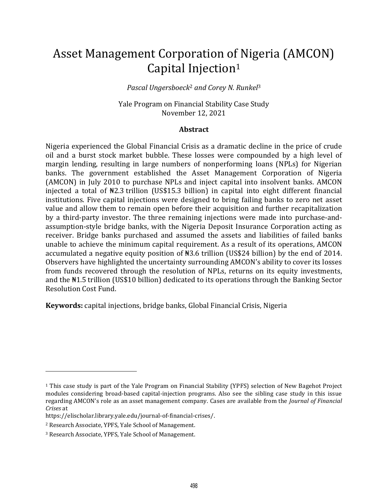# Asset Management Corporation of Nigeria (AMCON) Capital Injection<sup>1</sup>

*Pascal Ungersboeck*<sup>2</sup> *and Corey N. Runkel*<sup>3</sup>

Yale Program on Financial Stability Case Study November 12, 2021

#### **Abstract**

Nigeria experienced the Global Financial Crisis as a dramatic decline in the price of crude oil and a burst stock market bubble. These losses were compounded by a high level of margin lending, resulting in large numbers of nonperforming loans (NPLs) for Nigerian banks. The government established the Asset Management Corporation of Nigeria (AMCON) in July 2010 to purchase NPLs and inject capital into insolvent banks. AMCON injected a total of ₦2.3 trillion (US\$15.3 billion) in capital into eight different financial institutions. Five capital injections were designed to bring failing banks to zero net asset value and allow them to remain open before their acquisition and further recapitalization by a third-party investor. The three remaining injections were made into purchase-andassumption-style bridge banks, with the Nigeria Deposit Insurance Corporation acting as receiver. Bridge banks purchased and assumed the assets and liabilities of failed banks unable to achieve the minimum capital requirement. As a result of its operations, AMCON accumulated a negative equity position of ₦3.6 trillion (US\$24 billion) by the end of 2014. Observers have highlighted the uncertainty surrounding AMCON's ability to cover its losses from funds recovered through the resolution of NPLs, returns on its equity investments, and the ₦1.5 trillion (US\$10 billion) dedicated to its operations through the Banking Sector Resolution Cost Fund.

**Keywords:** capital injections, bridge banks, Global Financial Crisis, Nigeria

<sup>1</sup> This case study is part of the Yale Program on Financial Stability (YPFS) selection of New Bagehot Project modules considering broad-based capital-injection programs. Also see the sibling case study in this issue regarding AMCON's role as an asset management company. Cases are available from the *Journal of Financial Crises* at

https://elischolar.library.yale.edu/journal-of-financial-crises/.

<sup>2</sup> Research Associate, YPFS, Yale School of Management.

<sup>3</sup> Research Associate, YPFS, Yale School of Management.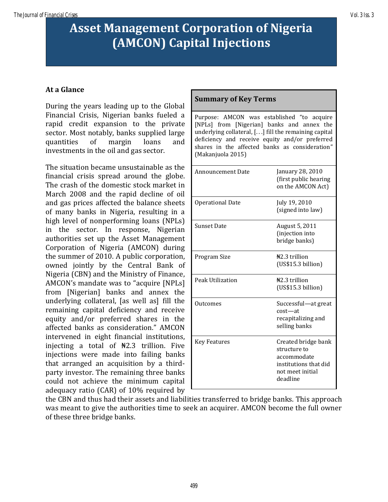# **Asset Management Corporation of Nigeria (AMCON) Capital Injections**

# **At a Glance**

During the years leading up to the Global Financial Crisis, Nigerian banks fueled a rapid credit expansion to the private sector. Most notably, banks supplied large quantities of margin loans and investments in the oil and gas sector.

The situation became unsustainable as the financial crisis spread around the globe. The crash of the domestic stock market in March 2008 and the rapid decline of oil and gas prices affected the balance sheets of many banks in Nigeria, resulting in a high level of nonperforming loans (NPLs) in the sector. In response, Nigerian authorities set up the Asset Management Corporation of Nigeria (AMCON) during the summer of 2010. A public corporation, owned jointly by the Central Bank of Nigeria (CBN) and the Ministry of Finance, AMCON's mandate was to "acquire [NPLs] from [Nigerian] banks and annex the underlying collateral, [as well as] fill the remaining capital deficiency and receive equity and/or preferred shares in the affected banks as consideration." AMCON intervened in eight financial institutions, injecting a total of  $\frac{12.3}{12}$  trillion. Five injections were made into failing banks that arranged an acquisition by a thirdparty investor. The remaining three banks could not achieve the minimum capital adequacy ratio (CAR) of 10% required by

## **Summary of Key Terms**

Purpose: AMCON was established "to acquire [NPLs] from [Nigerian] banks and annex the underlying collateral, [. . .] fill the remaining capital deficiency and receive equity and/or preferred shares in the affected banks as consideration" (Makanjuola 2015)

| <b>Announcement Date</b> | January 28, 2010<br>(first public hearing<br>on the AMCON Act)                                              |
|--------------------------|-------------------------------------------------------------------------------------------------------------|
| <b>Operational Date</b>  | July 19, 2010<br>(signed into law)                                                                          |
| <b>Sunset Date</b>       | August 5, 2011<br>(injection into<br>bridge banks)                                                          |
| Program Size             | $\frac{12.3}{100}$ trillion<br>(US\$15.3 billion)                                                           |
| Peak Utilization         | $H2.3$ trillion<br>(US\$15.3 billion)                                                                       |
| Outcomes                 | Successful-at great<br>$cost - at$<br>recapitalizing and<br>selling banks                                   |
| <b>Key Features</b>      | Created bridge bank<br>structure to<br>accommodate<br>institutions that did<br>not meet initial<br>deadline |

the CBN and thus had their assets and liabilities transferred to bridge banks. This approach was meant to give the authorities time to seek an acquirer. AMCON become the full owner of these three bridge banks.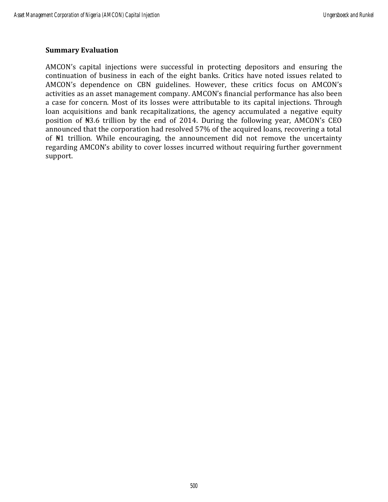## **Summary Evaluation**

AMCON's capital injections were successful in protecting depositors and ensuring the continuation of business in each of the eight banks. Critics have noted issues related to AMCON's dependence on CBN guidelines. However, these critics focus on AMCON's activities as an asset management company. AMCON's financial performance has also been a case for concern. Most of its losses were attributable to its capital injections. Through loan acquisitions and bank recapitalizations, the agency accumulated a negative equity position of ₦3.6 trillion by the end of 2014. During the following year, AMCON's CEO announced that the corporation had resolved 57% of the acquired loans, recovering a total of ₦1 trillion. While encouraging, the announcement did not remove the uncertainty regarding AMCON's ability to cover losses incurred without requiring further government support.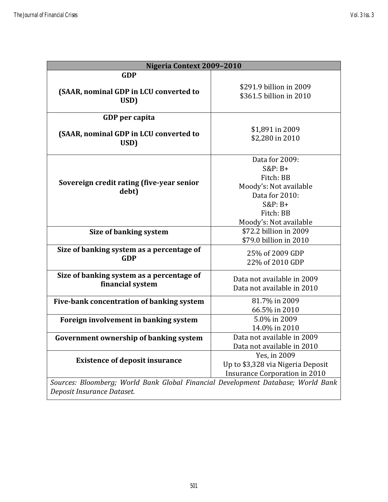| Nigeria Context 2009-2010                                                        |                                                                                                                                          |  |  |  |
|----------------------------------------------------------------------------------|------------------------------------------------------------------------------------------------------------------------------------------|--|--|--|
| <b>GDP</b>                                                                       |                                                                                                                                          |  |  |  |
| (SAAR, nominal GDP in LCU converted to<br>USD)                                   | \$291.9 billion in 2009<br>\$361.5 billion in 2010                                                                                       |  |  |  |
| GDP per capita                                                                   |                                                                                                                                          |  |  |  |
| (SAAR, nominal GDP in LCU converted to<br>USD)                                   | \$1,891 in 2009<br>\$2,280 in 2010                                                                                                       |  |  |  |
| Sovereign credit rating (five-year senior<br>debt)                               | Data for 2009:<br>$S\&P: B+$<br>Fitch: BB<br>Moody's: Not available<br>Data for 2010:<br>$S&P:B+$<br>Fitch: BB<br>Moody's: Not available |  |  |  |
| Size of banking system                                                           | \$72.2 billion in 2009<br>\$79.0 billion in 2010                                                                                         |  |  |  |
| Size of banking system as a percentage of<br><b>GDP</b>                          | 25% of 2009 GDP<br>22% of 2010 GDP                                                                                                       |  |  |  |
| Size of banking system as a percentage of<br>financial system                    | Data not available in 2009<br>Data not available in 2010                                                                                 |  |  |  |
| Five-bank concentration of banking system                                        | 81.7% in 2009<br>66.5% in 2010                                                                                                           |  |  |  |
| Foreign involvement in banking system                                            | 5.0% in 2009<br>14.0% in 2010                                                                                                            |  |  |  |
| Government ownership of banking system                                           | Data not available in 2009<br>Data not available in 2010                                                                                 |  |  |  |
| <b>Existence of deposit insurance</b>                                            | Yes, in 2009<br>Up to \$3,328 via Nigeria Deposit<br><b>Insurance Corporation in 2010</b>                                                |  |  |  |
| Sources: Bloomberg; World Bank Global Financial Development Database; World Bank |                                                                                                                                          |  |  |  |

*Deposit Insurance Dataset.*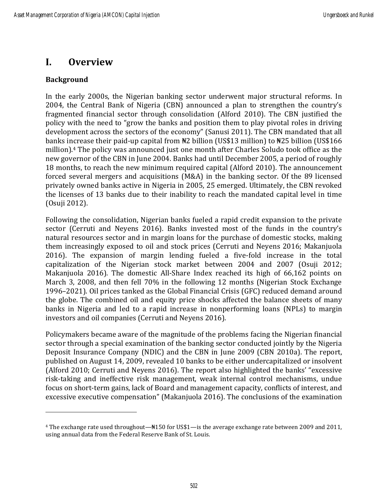# **I. Overview**

# **Background**

In the early 2000s, the Nigerian banking sector underwent major structural reforms. In 2004, the Central Bank of Nigeria (CBN) announced a plan to strengthen the country's fragmented financial sector through consolidation (Alford 2010). The CBN justified the policy with the need to "grow the banks and position them to play pivotal roles in driving development across the sectors of the economy" (Sanusi 2011). The CBN mandated that all banks increase their paid-up capital from  $\frac{12}{12}$  billion (US\$13 million) to  $\frac{125}{12}$  billion (US\$166 million).<sup>4</sup> The policy was announced just one month after Charles Soludo took office as the new governor of the CBN in June 2004. Banks had until December 2005, a period of roughly 18 months, to reach the new minimum required capital (Alford 2010). The announcement forced several mergers and acquisitions (M&A) in the banking sector. Of the 89 licensed privately owned banks active in Nigeria in 2005, 25 emerged. Ultimately, the CBN revoked the licenses of 13 banks due to their inability to reach the mandated capital level in time (Osuji 2012).

Following the consolidation, Nigerian banks fueled a rapid credit expansion to the private sector (Cerruti and Neyens 2016). Banks invested most of the funds in the country's natural resources sector and in margin loans for the purchase of domestic stocks, making them increasingly exposed to oil and stock prices (Cerruti and Neyens 2016; Makanjuola 2016). The expansion of margin lending fueled a five-fold increase in the total capitalization of the Nigerian stock market between 2004 and 2007 (Osuji 2012; Makanjuola 2016). The domestic All-Share Index reached its high of 66,162 points on March 3, 2008, and then fell 70% in the following 12 months (Nigerian Stock Exchange 1996–2021). Oil prices tanked as the Global Financial Crisis (GFC) reduced demand around the globe. The combined oil and equity price shocks affected the balance sheets of many banks in Nigeria and led to a rapid increase in nonperforming loans (NPLs) to margin investors and oil companies (Cerruti and Neyens 2016).

Policymakers became aware of the magnitude of the problems facing the Nigerian financial sector through a special examination of the banking sector conducted jointly by the Nigeria Deposit Insurance Company (NDIC) and the CBN in June 2009 (CBN 2010a). The report, published on August 14, 2009, revealed 10 banks to be either undercapitalized or insolvent (Alford 2010; Cerruti and Neyens 2016). The report also highlighted the banks' "excessive risk-taking and ineffective risk management, weak internal control mechanisms, undue focus on short-term gains, lack of Board and management capacity, conflicts of interest, and excessive executive compensation" (Makanjuola 2016). The conclusions of the examination

<sup>4</sup> The exchange rate used throughout—₦150 for US\$1—is the average exchange rate between 2009 and 2011, using annual data from the Federal Reserve Bank of St. Louis.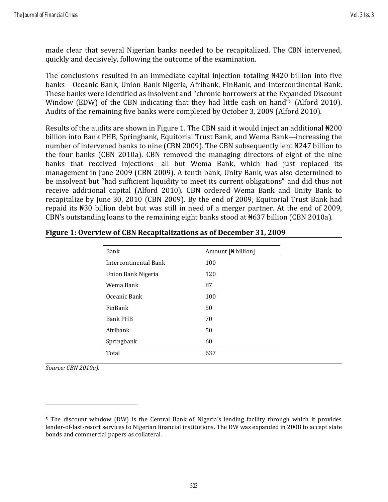made clear that several Nigerian banks needed to be recapitalized. The CBN intervened, quickly and decisively, following the outcome of the examination.

The conclusions resulted in an immediate capital injection totaling #420 billion into five banks—Oceanic Bank, Union Bank Nigeria, Afribank, FinBank, and Intercontinental Bank. These banks were identified as insolvent and "chronic borrowers at the Expanded Discount Window (EDW) of the CBN indicating that they had little cash on hand"<sup>5</sup> (Alford 2010). Audits of the remaining five banks were completed by October 3, 2009 (Alford 2010).

Results of the audits are shown in Figure 1. The CBN said it would inject an additional ₦200 billion into Bank PHB, Springbank, Equitorial Trust Bank, and Wema Bank—increasing the number of intervened banks to nine (CBN 2009). The CBN subsequently lent ₦247 billion to the four banks (CBN 2010a). CBN removed the managing directors of eight of the nine banks that received injections—all but Wema Bank, which had just replaced its management in June 2009 (CBN 2009). A tenth bank, Unity Bank, was also determined to be insolvent but "had sufficient liquidity to meet its current obligations" and did thus not receive additional capital (Alford 2010). CBN ordered Wema Bank and Unity Bank to recapitalize by June 30, 2010 (CBN 2009). By the end of 2009, Equitorial Trust Bank had repaid its ₦30 billion debt but was still in need of a merger partner. At the end of 2009, CBN's outstanding loans to the remaining eight banks stood at ₦637 billion (CBN 2010a).

| Bank                  | Amount [N billion] |
|-----------------------|--------------------|
| Intercontinental Bank | 100                |
| Union Bank Nigeria    | 120                |
| Wema Bank             | 87                 |
| Oceanic Bank          | 100                |
| FinBank               | 50                 |
| <b>Bank PHB</b>       | 70                 |
| Afribank              | 50                 |
| Springbank            | 60                 |
| Total                 | 637                |

#### **Figure 1: Overview of CBN Recapitalizations as of December 31, 2009**

*Source: CBN 2010a).*

<sup>5</sup> The discount window (DW) is the Central Bank of Nigeria's lending facility through which it provides lender-of-last-resort services to Nigerian financial institutions. The DW was expanded in 2008 to accept state bonds and commercial papers as collateral.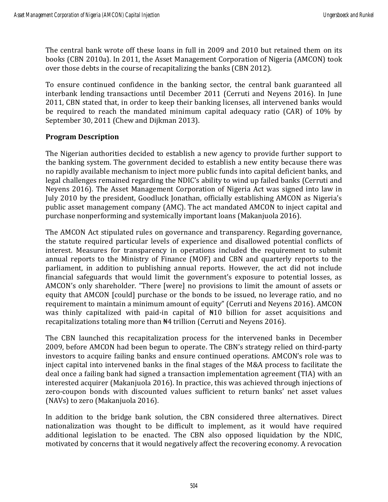The central bank wrote off these loans in full in 2009 and 2010 but retained them on its books (CBN 2010a). In 2011, the Asset Management Corporation of Nigeria (AMCON) took over those debts in the course of recapitalizing the banks (CBN 2012).

To ensure continued confidence in the banking sector, the central bank guaranteed all interbank lending transactions until December 2011 (Cerruti and Neyens 2016). In June 2011, CBN stated that, in order to keep their banking licenses, all intervened banks would be required to reach the mandated minimum capital adequacy ratio (CAR) of 10% by September 30, 2011 (Chew and Dijkman 2013).

# **Program Description**

The Nigerian authorities decided to establish a new agency to provide further support to the banking system. The government decided to establish a new entity because there was no rapidly available mechanism to inject more public funds into capital deficient banks, and legal challenges remained regarding the NDIC's ability to wind up failed banks (Cerruti and Neyens 2016). The Asset Management Corporation of Nigeria Act was signed into law in July 2010 by the president, Goodluck Jonathan, officially establishing AMCON as Nigeria's public asset management company (AMC). The act mandated AMCON to inject capital and purchase nonperforming and systemically important loans (Makanjuola 2016).

The AMCON Act stipulated rules on governance and transparency. Regarding governance, the statute required particular levels of experience and disallowed potential conflicts of interest. Measures for transparency in operations included the requirement to submit annual reports to the Ministry of Finance (MOF) and CBN and quarterly reports to the parliament, in addition to publishing annual reports. However, the act did not include financial safeguards that would limit the government's exposure to potential losses, as AMCON's only shareholder. "There [were] no provisions to limit the amount of assets or equity that AMCON [could] purchase or the bonds to be issued, no leverage ratio, and no requirement to maintain a minimum amount of equity" (Cerruti and Neyens 2016). AMCON was thinly capitalized with paid-in capital of ₦10 billion for asset acquisitions and recapitalizations totaling more than ₦4 trillion (Cerruti and Neyens 2016).

The CBN launched this recapitalization process for the intervened banks in December 2009, before AMCON had been begun to operate. The CBN's strategy relied on third-party investors to acquire failing banks and ensure continued operations. AMCON's role was to inject capital into intervened banks in the final stages of the M&A process to facilitate the deal once a failing bank had signed a transaction implementation agreement (TIA) with an interested acquirer (Makanjuola 2016). In practice, this was achieved through injections of zero-coupon bonds with discounted values sufficient to return banks' net asset values (NAVs) to zero (Makanjuola 2016).

In addition to the bridge bank solution, the CBN considered three alternatives. Direct nationalization was thought to be difficult to implement, as it would have required additional legislation to be enacted. The CBN also opposed liquidation by the NDIC, motivated by concerns that it would negatively affect the recovering economy. A revocation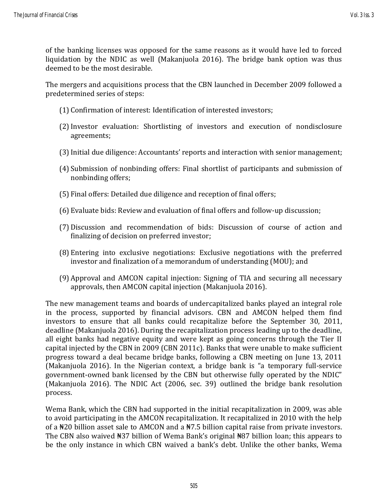of the banking licenses was opposed for the same reasons as it would have led to forced liquidation by the NDIC as well (Makanjuola 2016). The bridge bank option was thus deemed to be the most desirable.

The mergers and acquisitions process that the CBN launched in December 2009 followed a predetermined series of steps:

- (1) Confirmation of interest: Identification of interested investors;
- (2)Investor evaluation: Shortlisting of investors and execution of nondisclosure agreements;
- (3)Initial due diligence: Accountants' reports and interaction with senior management;
- (4) Submission of nonbinding offers: Final shortlist of participants and submission of nonbinding offers;
- (5) Final offers: Detailed due diligence and reception of final offers;
- (6) Evaluate bids: Review and evaluation of final offers and follow-up discussion;
- (7) Discussion and recommendation of bids: Discussion of course of action and finalizing of decision on preferred investor;
- (8) Entering into exclusive negotiations: Exclusive negotiations with the preferred investor and finalization of a memorandum of understanding (MOU); and
- (9) Approval and AMCON capital injection: Signing of TIA and securing all necessary approvals, then AMCON capital injection (Makanjuola 2016).

The new management teams and boards of undercapitalized banks played an integral role in the process, supported by financial advisors. CBN and AMCON helped them find investors to ensure that all banks could recapitalize before the September 30, 2011, deadline (Makanjuola 2016). During the recapitalization process leading up to the deadline, all eight banks had negative equity and were kept as going concerns through the Tier II capital injected by the CBN in 2009 (CBN 2011c). Banks that were unable to make sufficient progress toward a deal became bridge banks, following a CBN meeting on June 13, 2011 (Makanjuola 2016). In the Nigerian context, a bridge bank is "a temporary full-service government-owned bank licensed by the CBN but otherwise fully operated by the NDIC" (Makanjuola 2016). The NDIC Act (2006, sec. 39) outlined the bridge bank resolution process.

Wema Bank, which the CBN had supported in the initial recapitalization in 2009, was able to avoid participating in the AMCON recapitalization. It recapitalized in 2010 with the help of a ₦20 billion asset sale to AMCON and a ₦7.5 billion capital raise from private investors. The CBN also waived ₦37 billion of Wema Bank's original ₦87 billion loan; this appears to be the only instance in which CBN waived a bank's debt. Unlike the other banks, Wema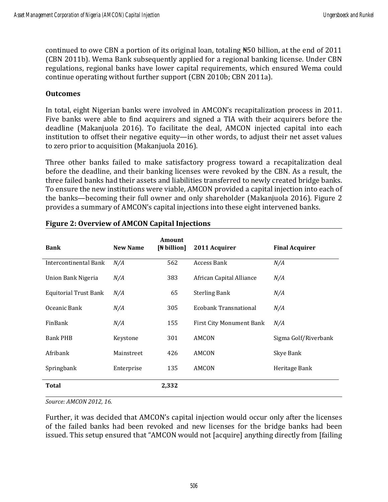continued to owe CBN a portion of its original loan, totaling ₦50 billion, at the end of 2011 (CBN 2011b). Wema Bank subsequently applied for a regional banking license. Under CBN regulations, regional banks have lower capital requirements, which ensured Wema could continue operating without further support (CBN 2010b; CBN 2011a).

## **Outcomes**

In total, eight Nigerian banks were involved in AMCON's recapitalization process in 2011. Five banks were able to find acquirers and signed a TIA with their acquirers before the deadline (Makanjuola 2016). To facilitate the deal, AMCON injected capital into each institution to offset their negative equity—in other words, to adjust their net asset values to zero prior to acquisition (Makanjuola 2016).

Three other banks failed to make satisfactory progress toward a recapitalization deal before the deadline, and their banking licenses were revoked by the CBN. As a result, the three failed banks had their assets and liabilities transferred to newly created bridge banks. To ensure the new institutions were viable, AMCON provided a capital injection into each of the banks—becoming their full owner and only shareholder (Makanjuola 2016). Figure 2 provides a summary of AMCON's capital injections into these eight intervened banks.

| <b>Bank</b>                  | <b>New Name</b> | Amount<br>[Ne billion] | 2011 Acquirer                   | <b>Final Acquirer</b> |
|------------------------------|-----------------|------------------------|---------------------------------|-----------------------|
| <b>Intercontinental Bank</b> | N/A             | 562                    | <b>Access Bank</b>              | N/A                   |
| Union Bank Nigeria           | N/A             | 383                    | African Capital Alliance        | N/A                   |
| <b>Equitorial Trust Bank</b> | N/A             | 65                     | <b>Sterling Bank</b>            | N/A                   |
| Oceanic Bank                 | N/A             | 305                    | <b>Ecobank Transnational</b>    | N/A                   |
| FinBank                      | N/A             | 155                    | <b>First City Monument Bank</b> | N/A                   |
| <b>Bank PHB</b>              | Keystone        | 301                    | AMCON                           | Sigma Golf/Riverbank  |
| Afribank                     | Mainstreet      | 426                    | AMCON                           | Skye Bank             |
| Springbank                   | Enterprise      | 135                    | AMCON                           | Heritage Bank         |
| <b>Total</b>                 |                 | 2,332                  |                                 |                       |

# **Figure 2: Overview of AMCON Capital Injections**

*Source: AMCON 2012, 16.*

Further, it was decided that AMCON's capital injection would occur only after the licenses of the failed banks had been revoked and new licenses for the bridge banks had been issued. This setup ensured that "AMCON would not [acquire] anything directly from [failing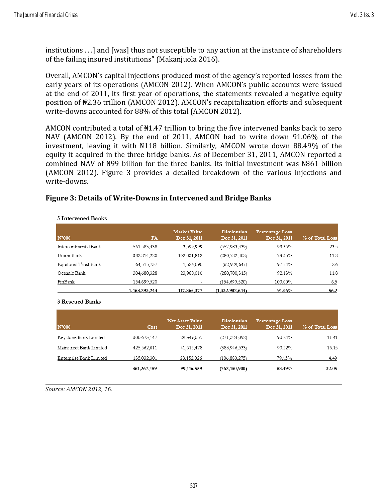institutions . . .] and [was] thus not susceptible to any action at the instance of shareholders of the failing insured institutions" (Makanjuola 2016).

Overall, AMCON's capital injections produced most of the agency's reported losses from the early years of its operations (AMCON 2012). When AMCON's public accounts were issued at the end of 2011, its first year of operations, the statements revealed a negative equity position of ₦2.36 trillion (AMCON 2012). AMCON's recapitalization efforts and subsequent write-downs accounted for 88% of this total (AMCON 2012).

AMCON contributed a total of  $\text{N}1.47$  trillion to bring the five intervened banks back to zero NAV (AMCON 2012). By the end of 2011, AMCON had to write down 91.06% of the investment, leaving it with ₦118 billion. Similarly, AMCON wrote down 88.49% of the equity it acquired in the three bridge banks. As of December 31, 2011, AMCON reported a combined NAV of ₦99 billion for the three banks. Its initial investment was ₦861 billion (AMCON 2012). Figure 3 provides a detailed breakdown of the various injections and write-downs.

#### **Figure 3: Details of Write-Downs in Intervened and Bridge Banks**

| N'000                 | <b>FA</b>     | <b>Market Value</b><br>Dec 31, 2011 | <b>Diminution</b><br>Dec 31, 2011 | <b>Percentage Loss</b><br>Dec 31, 2011 | % of Total Loss |
|-----------------------|---------------|-------------------------------------|-----------------------------------|----------------------------------------|-----------------|
| Intercontinental Bank | 561,583,438   | 3,599,999                           | (557, 983, 439)                   | 99.36%                                 | 23.5            |
| Union Bank            | 382,814,220   | 102,031,812                         | (280,782,408)                     | 73.35%                                 | 11.8            |
| Equitorial Trust Bank | 64,515,737    | 1,586,090                           | (62,929,647)                      | 97.54%                                 | 2.6             |
| Oceanic Bank          | 304,680,328   | 23,980,016                          | (280, 700, 313)                   | 92.13%                                 | 11.8            |
| FinBank               | 154,699.520   | ۰                                   | (154, 699, 520)                   | 100.00%                                | 6.5             |
|                       | 1,468,293,243 | 117,866,377                         | (1,332,902,644)                   | 91.06%                                 | 56.2            |

#### 5 Intervened Banks

#### 3 Rescued Banks

| N'000                   | <b>Cost</b>   | <b>Net Asset Value</b><br>Dec 31, 2011 | <b>Diminution</b><br>Dec 31, 2011 | <b>Percentage Loss</b><br>Dec 31, 2011 | % of Total Loss |
|-------------------------|---------------|----------------------------------------|-----------------------------------|----------------------------------------|-----------------|
| Keystone Bank Limited   | 300,673,147   | 29,349,055                             | (271, 324, 092)                   | 90.24%                                 | 11.41           |
| Mainstreet Bank Limited | 425,562,011   | 41,615,478                             | (383, 946, 533)                   | 90.22%                                 | 16.15           |
| Enterprise Bank Limited | 135.032.301   | 28.152.026                             | (106.880.275)                     | 79.15%                                 | 4.49            |
|                         | 861, 267, 459 | 99,116,559                             | (762, 150, 900)                   | 88.49%                                 | 32.05           |

*Source: AMCON 2012, 16.*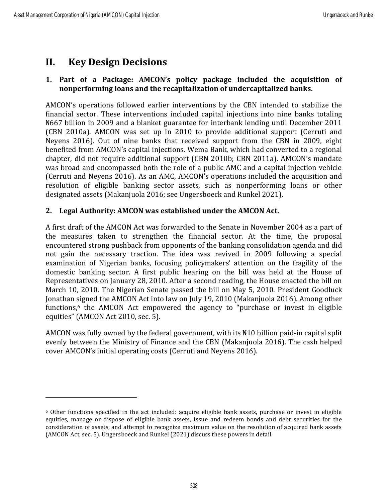# **II. Key Design Decisions**

# **1. Part of a Package: AMCON's policy package included the acquisition of nonperforming loans and the recapitalization of undercapitalized banks.**

AMCON's operations followed earlier interventions by the CBN intended to stabilize the financial sector. These interventions included capital injections into nine banks totaling ₦667 billion in 2009 and a blanket guarantee for interbank lending until December 2011 (CBN 2010a). AMCON was set up in 2010 to provide additional support (Cerruti and Neyens 2016). Out of nine banks that received support from the CBN in 2009, eight benefited from AMCON's capital injections. Wema Bank, which had converted to a regional chapter, did not require additional support (CBN 2010b; CBN 2011a). AMCON's mandate was broad and encompassed both the role of a public AMC and a capital injection vehicle (Cerruti and Neyens 2016). As an AMC, AMCON's operations included the acquisition and resolution of eligible banking sector assets, such as nonperforming loans or other designated assets (Makanjuola 2016; see Ungersboeck and Runkel 2021).

# **2. Legal Authority: AMCON was established under the AMCON Act.**

A first draft of the AMCON Act was forwarded to the Senate in November 2004 as a part of the measures taken to strengthen the financial sector. At the time, the proposal encountered strong pushback from opponents of the banking consolidation agenda and did not gain the necessary traction. The idea was revived in 2009 following a special examination of Nigerian banks, focusing policymakers' attention on the fragility of the domestic banking sector. A first public hearing on the bill was held at the House of Representatives on January 28, 2010. After a second reading, the House enacted the bill on March 10, 2010. The Nigerian Senate passed the bill on May 5, 2010. President Goodluck Jonathan signed the AMCON Act into law on July 19, 2010 (Makanjuola 2016). Among other functions, <sup>6</sup> the AMCON Act empowered the agency to "purchase or invest in eligible equities" (AMCON Act 2010, sec. 5).

AMCON was fully owned by the federal government, with its  $\text{H10}$  billion paid-in capital split evenly between the Ministry of Finance and the CBN (Makanjuola 2016). The cash helped cover AMCON's initial operating costs (Cerruti and Neyens 2016).

<sup>6</sup> Other functions specified in the act included: acquire eligible bank assets, purchase or invest in eligible equities, manage or dispose of eligible bank assets, issue and redeem bonds and debt securities for the consideration of assets, and attempt to recognize maximum value on the resolution of acquired bank assets (AMCON Act, sec. 5). Ungersboeck and Runkel (2021) discuss these powers in detail.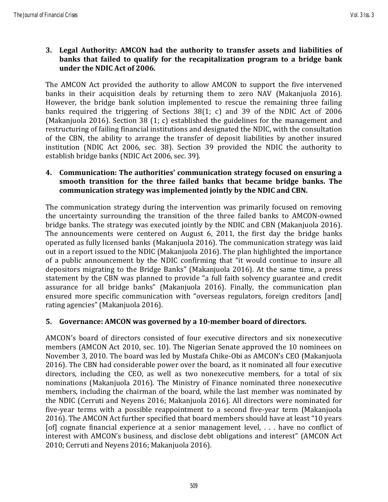**3. Legal Authority: AMCON had the authority to transfer assets and liabilities of banks that failed to qualify for the recapitalization program to a bridge bank under the NDIC Act of 2006.**

The AMCON Act provided the authority to allow AMCON to support the five intervened banks in their acquisition deals by returning them to zero NAV (Makanjuola 2016). However, the bridge bank solution implemented to rescue the remaining three failing banks required the triggering of Sections 38(1; c) and 39 of the NDIC Act of 2006 (Makanjuola 2016). Section 38 (1; c) established the guidelines for the management and restructuring of failing financial institutions and designated the NDIC, with the consultation of the CBN, the ability to arrange the transfer of deposit liabilities by another insured institution (NDIC Act 2006, sec. 38). Section 39 provided the NDIC the authority to establish bridge banks (NDIC Act 2006, sec. 39).

**4. Communication: The authorities' communication strategy focused on ensuring a smooth transition for the three failed banks that became bridge banks. The communication strategy was implemented jointly by the NDIC and CBN.**

The communication strategy during the intervention was primarily focused on removing the uncertainty surrounding the transition of the three failed banks to AMCON-owned bridge banks. The strategy was executed jointly by the NDIC and CBN (Makanjuola 2016). The announcements were centered on August 6, 2011, the first day the bridge banks operated as fully licensed banks (Makanjuola 2016). The communication strategy was laid out in a report issued to the NDIC (Makanjuola 2016). The plan highlighted the importance of a public announcement by the NDIC confirming that "it would continue to insure all depositors migrating to the Bridge Banks" (Makanjuola 2016). At the same time, a press statement by the CBN was planned to provide "a full faith solvency guarantee and credit assurance for all bridge banks" (Makanjuola 2016). Finally, the communication plan ensured more specific communication with "overseas regulators, foreign creditors [and] rating agencies" (Makanjuola 2016).

# **5. Governance: AMCON was governed by a 10-member board of directors.**

AMCON's board of directors consisted of four executive directors and six nonexecutive members (AMCON Act 2010, sec. 10). The Nigerian Senate approved the 10 nominees on November 3, 2010. The board was led by Mustafa Chike-Obi as AMCON's CEO (Makanjuola 2016). The CBN had considerable power over the board, as it nominated all four executive directors, including the CEO, as well as two nonexecutive members, for a total of six nominations (Makanjuola 2016). The Ministry of Finance nominated three nonexecutive members, including the chairman of the board, while the last member was nominated by the NDIC (Cerruti and Neyens 2016; Makanjuola 2016). All directors were nominated for five-year terms with a possible reappointment to a second five-year term (Makanjuola 2016). The AMCON Act further specified that board members should have at least "10 years [of] cognate financial experience at a senior management level, . . . have no conflict of interest with AMCON's business, and disclose debt obligations and interest" (AMCON Act 2010; Cerruti and Neyens 2016; Makanjuola 2016).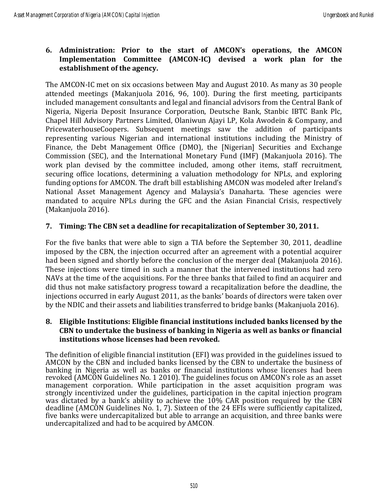# **6. Administration: Prior to the start of AMCON's operations, the AMCON Implementation Committee (AMCON-IC) devised a work plan for the establishment of the agency.**

The AMCON-IC met on six occasions between May and August 2010. As many as 30 people attended meetings (Makanjuola 2016, 96, 100). During the first meeting, participants included management consultants and legal and financial advisors from the Central Bank of Nigeria, Nigeria Deposit Insurance Corporation, Deutsche Bank, Stanbic IBTC Bank Plc, Chapel Hill Advisory Partners Limited, Olaniwun Ajayi LP, Kola Awodein & Company, and PricewaterhouseCoopers. Subsequent meetings saw the addition of participants representing various Nigerian and international institutions including the Ministry of Finance, the Debt Management Office (DMO), the [Nigerian] Securities and Exchange Commission (SEC), and the International Monetary Fund (IMF) (Makanjuola 2016). The work plan devised by the committee included, among other items, staff recruitment, securing office locations, determining a valuation methodology for NPLs, and exploring funding options for AMCON. The draft bill establishing AMCON was modeled after Ireland's National Asset Management Agency and Malaysia's Danaharta. These agencies were mandated to acquire NPLs during the GFC and the Asian Financial Crisis, respectively (Makanjuola 2016).

# **7. Timing: The CBN set a deadline for recapitalization of September 30, 2011.**

For the five banks that were able to sign a TIA before the September 30, 2011, deadline imposed by the CBN, the injection occurred after an agreement with a potential acquirer had been signed and shortly before the conclusion of the merger deal (Makanjuola 2016). These injections were timed in such a manner that the intervened institutions had zero NAVs at the time of the acquisitions. For the three banks that failed to find an acquirer and did thus not make satisfactory progress toward a recapitalization before the deadline, the injections occurred in early August 2011, as the banks' boards of directors were taken over by the NDIC and their assets and liabilities transferred to bridge banks (Makanjuola 2016).

## **8. Eligible Institutions: Eligible financial institutions included banks licensed by the CBN to undertake the business of banking in Nigeria as well as banks or financial institutions whose licenses had been revoked.**

The definition of eligible financial institution (EFI) was provided in the guidelines issued to AMCON by the CBN and included banks licensed by the CBN to undertake the business of banking in Nigeria as well as banks or financial institutions whose licenses had been revoked (AMCON Guidelines No. 1 2010). The guidelines focus on AMCON's role as an asset management corporation. While participation in the asset acquisition program was strongly incentivized under the guidelines, participation in the capital injection program was dictated by a bank's ability to achieve the 10% CAR position required by the CBN deadline (AMCON Guidelines No. 1, 7). Sixteen of the 24 EFIs were sufficiently capitalized, five banks were undercapitalized but able to arrange an acquisition, and three banks were undercapitalized and had to be acquired by AMCON.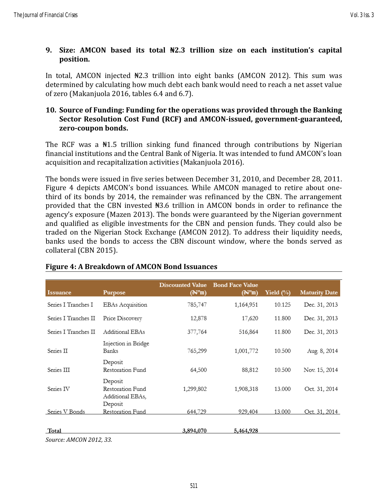# **9. Size: AMCON based its total ₦2.3 trillion size on each institution's capital position.**

In total, AMCON injected ₦2.3 trillion into eight banks (AMCON 2012). This sum was determined by calculating how much debt each bank would need to reach a net asset value of zero (Makanjuola 2016, tables 6.4 and 6.7).

# **10. Source of Funding: Funding for the operations was provided through the Banking Sector Resolution Cost Fund (RCF) and AMCON-issued, government-guaranteed, zero-coupon bonds.**

The RCF was a  $\frac{1}{2}$  trillion sinking fund financed through contributions by Nigerian financial institutions and the Central Bank of Nigeria. It was intended to fund AMCON's loan acquisition and recapitalization activities (Makanjuola 2016).

The bonds were issued in five series between December 31, 2010, and December 28, 2011. Figure 4 depicts AMCON's bond issuances. While AMCON managed to retire about onethird of its bonds by 2014, the remainder was refinanced by the CBN. The arrangement provided that the CBN invested ₦3.6 trillion in AMCON bonds in order to refinance the agency's exposure (Mazen 2013). The bonds were guaranteed by the Nigerian government and qualified as eligible investments for the CBN and pension funds. They could also be traded on the Nigerian Stock Exchange (AMCON 2012). To address their liquidity needs, banks used the bonds to access the CBN discount window, where the bonds served as collateral (CBN 2015).

| Issuance             | <b>Purpose</b>                                             | <b>Discounted Value</b><br>(N™m) | <b>Bond Face Value</b><br>(N'M) | Yield $(\%)$ | <b>Maturity Date</b> |
|----------------------|------------------------------------------------------------|----------------------------------|---------------------------------|--------------|----------------------|
| Series I Tranches I  | <b>EBAs Acquisition</b>                                    | 785,747                          | 1,164,951                       | 10.125       | Dec. 31, 2013        |
| Series I Tranches II | Price Discovery                                            | 12,878                           | 17,620                          | 11.800       | Dec. 31, 2013        |
| Series I Tranches II | Additional EBAs                                            | 377,764                          | 516,864                         | 11.800       | Dec. 31, 2013        |
| Series II            | Injection in Bridge<br>Banks                               | 765,299                          | 1,001,772                       | 10.500       | Aug. 8, 2014         |
| Series III           | Deposit<br>Restoration Fund                                | 64,500                           | 88,812                          | 10.500       | Nov. 15, 2014        |
| Series IV            | Deposit<br>Restoration Fund<br>Additional EBAs,<br>Deposit | 1,299,802                        | 1,908,318                       | 13.000       | Oct. 31, 2014        |
| Series V Bonds       | Restoration Fund                                           | 644,729                          | 929,404                         | 13.000       | Oct. 31, 2014        |
| Total                |                                                            | 3,894,070                        | 5,464,928                       |              |                      |

# **Figure 4: A Breakdown of AMCON Bond Issuances**

*Source: AMCON 2012, 33.*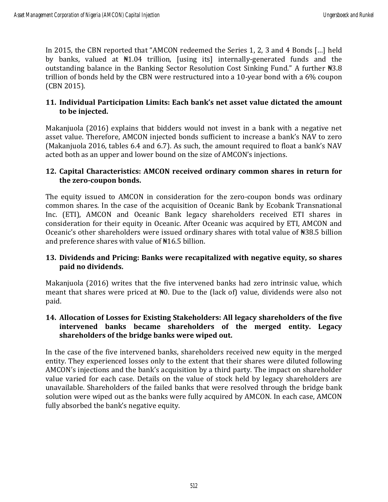In 2015, the CBN reported that "AMCON redeemed the Series 1, 2, 3 and 4 Bonds […] held by banks, valued at ₦1.04 trillion, [using its] internally-generated funds and the outstanding balance in the Banking Sector Resolution Cost Sinking Fund." A further ₦3.8 trillion of bonds held by the CBN were restructured into a 10-year bond with a 6% coupon (CBN 2015).

# **11. Individual Participation Limits: Each bank's net asset value dictated the amount to be injected.**

Makanjuola (2016) explains that bidders would not invest in a bank with a negative net asset value. Therefore, AMCON injected bonds sufficient to increase a bank's NAV to zero (Makanjuola 2016, tables 6.4 and 6.7). As such, the amount required to float a bank's NAV acted both as an upper and lower bound on the size of AMCON's injections.

# **12. Capital Characteristics: AMCON received ordinary common shares in return for the zero-coupon bonds.**

The equity issued to AMCON in consideration for the zero-coupon bonds was ordinary common shares. In the case of the acquisition of Oceanic Bank by Ecobank Transnational Inc. (ETI), AMCON and Oceanic Bank legacy shareholders received ETI shares in consideration for their equity in Oceanic. After Oceanic was acquired by ETI, AMCON and Oceanic's other shareholders were issued ordinary shares with total value of ₦38.5 billion and preference shares with value of ₦16.5 billion.

# **13. Dividends and Pricing: Banks were recapitalized with negative equity, so shares paid no dividends.**

Makanjuola (2016) writes that the five intervened banks had zero intrinsic value, which meant that shares were priced at ₦0. Due to the (lack of) value, dividends were also not paid.

# **14. Allocation of Losses for Existing Stakeholders: All legacy shareholders of the five intervened banks became shareholders of the merged entity. Legacy shareholders of the bridge banks were wiped out.**

In the case of the five intervened banks, shareholders received new equity in the merged entity. They experienced losses only to the extent that their shares were diluted following AMCON's injections and the bank's acquisition by a third party. The impact on shareholder value varied for each case. Details on the value of stock held by legacy shareholders are unavailable. Shareholders of the failed banks that were resolved through the bridge bank solution were wiped out as the banks were fully acquired by AMCON. In each case, AMCON fully absorbed the bank's negative equity.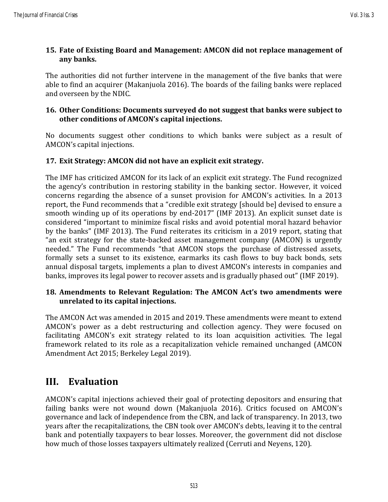# **15. Fate of Existing Board and Management: AMCON did not replace management of any banks.**

The authorities did not further intervene in the management of the five banks that were able to find an acquirer (Makanjuola 2016). The boards of the failing banks were replaced and overseen by the NDIC.

# **16. Other Conditions: Documents surveyed do not suggest that banks were subject to other conditions of AMCON's capital injections.**

No documents suggest other conditions to which banks were subject as a result of AMCON's capital injections.

# **17. Exit Strategy: AMCON did not have an explicit exit strategy.**

The IMF has criticized AMCON for its lack of an explicit exit strategy. The Fund recognized the agency's contribution in restoring stability in the banking sector. However, it voiced concerns regarding the absence of a sunset provision for AMCON's activities. In a 2013 report, the Fund recommends that a "credible exit strategy [should be] devised to ensure a smooth winding up of its operations by end-2017" (IMF 2013). An explicit sunset date is considered "important to minimize fiscal risks and avoid potential moral hazard behavior by the banks" (IMF 2013). The Fund reiterates its criticism in a 2019 report, stating that "an exit strategy for the state-backed asset management company (AMCON) is urgently needed." The Fund recommends "that AMCON stops the purchase of distressed assets, formally sets a sunset to its existence, earmarks its cash flows to buy back bonds, sets annual disposal targets, implements a plan to divest AMCON's interests in companies and banks, improves its legal power to recover assets and is gradually phased out" (IMF 2019).

# **18. Amendments to Relevant Regulation: The AMCON Act's two amendments were unrelated to its capital injections.**

The AMCON Act was amended in 2015 and 2019. These amendments were meant to extend AMCON's power as a debt restructuring and collection agency. They were focused on facilitating AMCON's exit strategy related to its loan acquisition activities. The legal framework related to its role as a recapitalization vehicle remained unchanged (AMCON Amendment Act 2015; Berkeley Legal 2019).

# **III. Evaluation**

AMCON's capital injections achieved their goal of protecting depositors and ensuring that failing banks were not wound down (Makanjuola 2016). Critics focused on AMCON's governance and lack of independence from the CBN, and lack of transparency. In 2013, two years after the recapitalizations, the CBN took over AMCON's debts, leaving it to the central bank and potentially taxpayers to bear losses. Moreover, the government did not disclose how much of those losses taxpayers ultimately realized (Cerruti and Neyens, 120).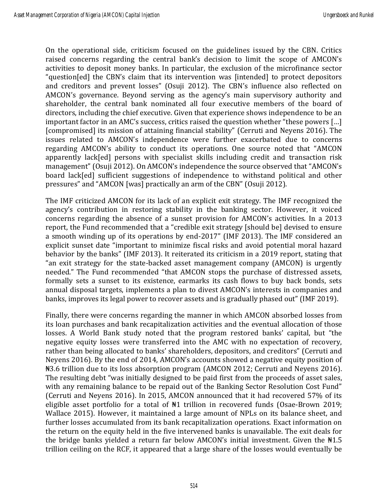On the operational side, criticism focused on the guidelines issued by the CBN. Critics raised concerns regarding the central bank's decision to limit the scope of AMCON's activities to deposit money banks. In particular, the exclusion of the microfinance sector "question[ed] the CBN's claim that its intervention was [intended] to protect depositors and creditors and prevent losses" (Osuji 2012). The CBN's influence also reflected on AMCON's governance. Beyond serving as the agency's main supervisory authority and shareholder, the central bank nominated all four executive members of the board of directors, including the chief executive. Given that experience shows independence to be an important factor in an AMC's success, critics raised the question whether "these powers […] [compromised] its mission of attaining financial stability" (Cerruti and Neyens 2016). The issues related to AMCON's independence were further exacerbated due to concerns regarding AMCON's ability to conduct its operations. One source noted that "AMCON apparently lack[ed] persons with specialist skills including credit and transaction risk management" (Osuji 2012). On AMCON's independence the source observed that "AMCON's board lack[ed] sufficient suggestions of independence to withstand political and other pressures" and "AMCON [was] practically an arm of the CBN" (Osuji 2012).

The IMF criticized AMCON for its lack of an explicit exit strategy. The IMF recognized the agency's contribution in restoring stability in the banking sector. However, it voiced concerns regarding the absence of a sunset provision for AMCON's activities. In a 2013 report, the Fund recommended that a "credible exit strategy [should be] devised to ensure a smooth winding up of its operations by end-2017" (IMF 2013). The IMF considered an explicit sunset date "important to minimize fiscal risks and avoid potential moral hazard behavior by the banks" (IMF 2013). It reiterated its criticism in a 2019 report, stating that "an exit strategy for the state-backed asset management company (AMCON) is urgently needed." The Fund recommended "that AMCON stops the purchase of distressed assets, formally sets a sunset to its existence, earmarks its cash flows to buy back bonds, sets annual disposal targets, implements a plan to divest AMCON's interests in companies and banks, improves its legal power to recover assets and is gradually phased out" (IMF 2019).

Finally, there were concerns regarding the manner in which AMCON absorbed losses from its loan purchases and bank recapitalization activities and the eventual allocation of those losses. A World Bank study noted that the program restored banks' capital, but "the negative equity losses were transferred into the AMC with no expectation of recovery, rather than being allocated to banks' shareholders, depositors, and creditors" (Cerruti and Neyens 2016). By the end of 2014, AMCON's accounts showed a negative equity position of ₦3.6 trillion due to its loss absorption program (AMCON 2012; Cerruti and Neyens 2016). The resulting debt "was initially designed to be paid first from the proceeds of asset sales, with any remaining balance to be repaid out of the Banking Sector Resolution Cost Fund" (Cerruti and Neyens 2016). In 2015, AMCON announced that it had recovered 57% of its eligible asset portfolio for a total of ₦1 trillion in recovered funds (Osae-Brown 2019; Wallace 2015). However, it maintained a large amount of NPLs on its balance sheet, and further losses accumulated from its bank recapitalization operations. Exact information on the return on the equity held in the five intervened banks is unavailable. The exit deals for the bridge banks yielded a return far below AMCON's initial investment. Given the  $\text{N1.5}$ trillion ceiling on the RCF, it appeared that a large share of the losses would eventually be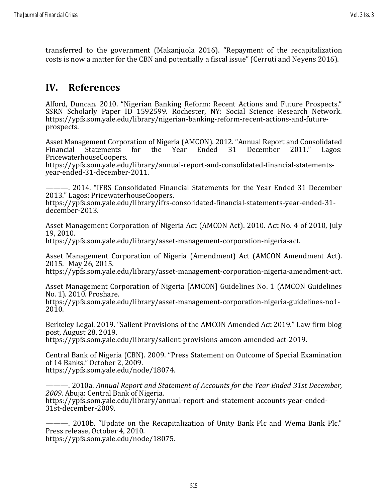transferred to the government (Makanjuola 2016). "Repayment of the recapitalization costs is now a matter for the CBN and potentially a fiscal issue" (Cerruti and Neyens 2016).

# **IV. References**

Alford, Duncan. 2010. "Nigerian Banking Reform: Recent Actions and Future Prospects." SSRN Scholarly Paper ID 1592599. Rochester, NY: Social Science Research Network. https://ypfs.som.yale.edu/library/nigerian-banking-reform-recent-actions-and-futureprospects.

Asset Management Corporation of Nigeria (AMCON). 2012. "Annual Report and Consolidated<br>Financial Statements for the Year Ended 31 December 2011." Lagos: Statements for the Year Ended 31 December 2011." Lagos: PricewaterhouseCoopers.

https://ypfs.som.yale.edu/library/annual-report-and-consolidated-financial-statementsyear-ended-31-december-2011.

———. 2014. "IFRS Consolidated Financial Statements for the Year Ended 31 December 2013." Lagos: PricewaterhouseCoopers.

https://ypfs.som.yale.edu/library/ifrs-consolidated-financial-statements-year-ended-31 december-2013.

Asset Management Corporation of Nigeria Act (AMCON Act). 2010. Act No. 4 of 2010, July 19, 2010.

https://ypfs.som.yale.edu/library/asset-management-corporation-nigeria-act.

Asset Management Corporation of Nigeria (Amendment) Act (AMCON Amendment Act). 2015. May 26, 2015.

https://ypfs.som.yale.edu/library/asset-management-corporation-nigeria-amendment-act.

Asset Management Corporation of Nigeria [AMCON] Guidelines No. 1 (AMCON Guidelines No. 1). 2010. Proshare.

https://ypfs.som.yale.edu/library/asset-management-corporation-nigeria-guidelines-no1- 2010.

Berkeley Legal. 2019. "Salient Provisions of the AMCON Amended Act 2019." Law firm blog post, August 28, 2019.

https://ypfs.som.yale.edu/library/salient-provisions-amcon-amended-act-2019.

Central Bank of Nigeria (CBN). 2009. "Press Statement on Outcome of Special Examination of 14 Banks." October 2, 2009. https://ypfs.som.yale.edu/node/18074.

———. 2010a. *Annual Report and Statement of Accounts for the Year Ended 31st December, 2009*. Abuja: Central Bank of Nigeria. https://ypfs.som.yale.edu/library/annual-report-and-statement-accounts-year-ended-31st-december-2009.

———. 2010b. "Update on the Recapitalization of Unity Bank Plc and Wema Bank Plc." Press release, October 4, 2010.

https://ypfs.som.yale.edu/node/18075.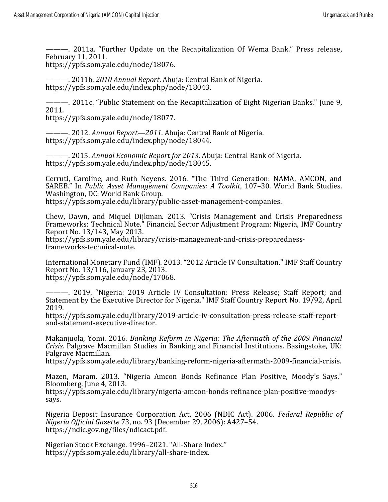———. 2011a. "Further Update on the Recapitalization Of Wema Bank." Press release, February 11, 2011.

https://ypfs.som.yale.edu/node/18076.

———. 2011b. *2010 Annual Report*. Abuja: Central Bank of Nigeria. https://ypfs.som.yale.edu/index.php/node/18043.

———. 2011c. "Public Statement on the Recapitalization of Eight Nigerian Banks." June 9, 2011.

https://ypfs.som.yale.edu/node/18077.

———. 2012. *Annual Report—2011*. Abuja: Central Bank of Nigeria. https://ypfs.som.yale.edu/index.php/node/18044.

———. 2015. *Annual Economic Report for 2013*. Abuja: Central Bank of Nigeria. https://ypfs.som.yale.edu/index.php/node/18045.

Cerruti, Caroline, and Ruth Neyens. 2016. "The Third Generation: NAMA, AMCON, and SAREB." In *Public Asset Management Companies: A Toolkit*, 107–30. World Bank Studies. Washington, DC: World Bank Group.

https://ypfs.som.yale.edu/library/public-asset-management-companies.

Chew, Dawn, and Miquel Dijkman. 2013. "Crisis Management and Crisis Preparedness Frameworks: Technical Note." Financial Sector Adjustment Program: Nigeria, IMF Country Report No. 13/143, May 2013.

https://ypfs.som.yale.edu/library/crisis-management-and-crisis-preparednessframeworks-technical-note.

International Monetary Fund (IMF). 2013. "2012 Article IV Consultation." IMF Staff Country Report No. 13/116, January 23, 2013. https://ypfs.som.yale.edu/node/17068.

———. 2019. "Nigeria: 2019 Article IV Consultation: Press Release; Staff Report; and Statement by the Executive Director for Nigeria." IMF Staff Country Report No. 19/92, April 2019.

https://ypfs.som.yale.edu/library/2019-article-iv-consultation-press-release-staff-reportand-statement-executive-director.

Makanjuola, Yomi. 2016. *Banking Reform in Nigeria: The Aftermath of the 2009 Financial Crisis*. Palgrave Macmillan Studies in Banking and Financial Institutions. Basingstoke, UK: Palgrave Macmillan.

https://ypfs.som.yale.edu/library/banking-reform-nigeria-aftermath-2009-financial-crisis.

Mazen, Maram. 2013. "Nigeria Amcon Bonds Refinance Plan Positive, Moody's Says." Bloomberg, June 4, 2013.

https://ypfs.som.yale.edu/library/nigeria-amcon-bonds-refinance-plan-positive-moodyssays.

Nigeria Deposit Insurance Corporation Act, 2006 (NDIC Act). 2006. *Federal Republic of Nigeria Official Gazette* 73, no. 93 (December 29, 2006): A427–54. https://ndic.gov.ng/files/ndicact.pdf.

Nigerian Stock Exchange. 1996–2021. "All-Share Index." https://ypfs.som.yale.edu/library/all-share-index.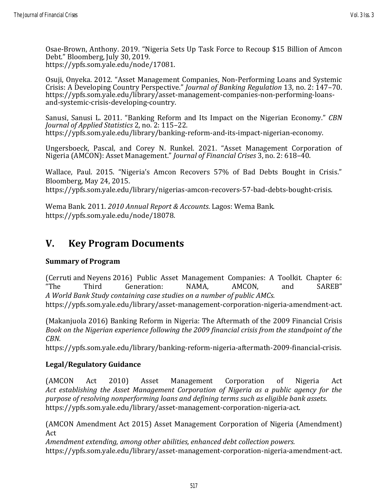Osae-Brown, Anthony. 2019. "Nigeria Sets Up Task Force to Recoup \$15 Billion of Amcon Debt." Bloomberg, July 30, 2019. https://ypfs.som.yale.edu/node/17081.

Osuji, Onyeka. 2012. "Asset Management Companies, Non-Performing Loans and Systemic Crisis: A Developing Country Perspective." *Journal of Banking Regulation* 13, no. 2: 147–70. https://ypfs.som.yale.edu/library/asset-management-companies-non-performing-loansand-systemic-crisis-developing-country.

Sanusi, Sanusi L. 2011. "Banking Reform and Its Impact on the Nigerian Economy." *CBN Journal of Applied Statistics* 2, no. 2: 115–22. https://ypfs.som.yale.edu/library/banking-reform-and-its-impact-nigerian-economy.

Ungersboeck, Pascal, and Corey N. Runkel. 2021. "Asset Management Corporation of Nigeria (AMCON): Asset Management." *Journal of Financial Crises* 3, no. 2: 618–40.

Wallace, Paul. 2015. "Nigeria's Amcon Recovers 57% of Bad Debts Bought in Crisis." Bloomberg, May 24, 2015.

https://ypfs.som.yale.edu/library/nigerias-amcon-recovers-57-bad-debts-bought-crisis.

Wema Bank. 2011. *2010 Annual Report & Accounts*. Lagos: Wema Bank. https://ypfs.som.yale.edu/node/18078.

# **V. Key Program Documents**

# **Summary of Program**

(Cerruti and Neyens 2016) Public Asset Management Companies: A Toolkit. Chapter 6: "The Third Generation: NAMA, AMCON, and SAREB" *A World Bank Study containing case studies on a number of public AMCs.*

https://ypfs.som.yale.edu/library/asset-management-corporation-nigeria-amendment-act.

(Makanjuola 2016) Banking Reform in Nigeria: The Aftermath of the 2009 Financial Crisis *Book on the Nigerian experience following the 2009 financial crisis from the standpoint of the CBN.*

https://ypfs.som.yale.edu/library/banking-reform-nigeria-aftermath-2009-financial-crisis.

# **Legal/Regulatory Guidance**

(AMCON Act 2010) Asset Management Corporation of Nigeria Act *Act establishing the Asset Management Corporation of Nigeria as a public agency for the purpose of resolving nonperforming loans and defining terms such as eligible bank assets.* https://ypfs.som.yale.edu/library/asset-management-corporation-nigeria-act.

(AMCON Amendment Act 2015) Asset Management Corporation of Nigeria (Amendment) Act

*Amendment extending, among other abilities, enhanced debt collection powers.* https://ypfs.som.yale.edu/library/asset-management-corporation-nigeria-amendment-act.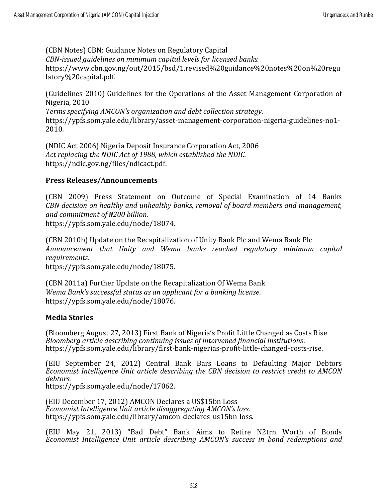(CBN Notes) CBN: Guidance Notes on Regulatory Capital *CBN-issued guidelines on minimum capital levels for licensed banks.* https://www.cbn.gov.ng/out/2015/bsd/1.revised%20guidance%20notes%20on%20regu latory%20capital.pdf.

(Guidelines 2010) Guidelines for the Operations of the Asset Management Corporation of Nigeria, 2010

*Terms specifying AMCON's organization and debt collection strategy.* https://ypfs.som.yale.edu/library/asset-management-corporation-nigeria-guidelines-no1- 2010.

(NDIC Act 2006) Nigeria Deposit Insurance Corporation Act, 2006 *Act replacing the NDIC Act of 1988, which established the NDIC.* https://ndic.gov.ng/files/ndicact.pdf.

## **Press Releases/Announcements**

(CBN 2009) Press Statement on Outcome of Special Examination of 14 Banks *CBN decision on healthy and unhealthy banks, removal of board members and management, and commitment of ₦200 billion.* https://ypfs.som.yale.edu/node/18074.

(CBN 2010b) Update on the Recapitalization of Unity Bank Plc and Wema Bank Plc *Announcement that Unity and Wema banks reached regulatory minimum capital requirements*.

https://ypfs.som.yale.edu/node/18075.

(CBN 2011a) Further Update on the Recapitalization Of Wema Bank *Wema Bank's successful status as an applicant for a banking license*. https://ypfs.som.yale.edu/node/18076.

#### **Media Stories**

(Bloomberg August 27, 2013) First Bank of Nigeria's Profit Little Changed as Costs Rise *Bloomberg article describing continuing issues of intervened financial institutions*. https://ypfs.som.yale.edu/library/first-bank-nigerias-profit-little-changed-costs-rise.

(EIU September 24, 2012) Central Bank Bars Loans to Defaulting Major Debtors *Economist Intelligence Unit article describing the CBN decision to restrict credit to AMCON debtors*.

https://ypfs.som.yale.edu/node/17062.

(EIU December 17, 2012) AMCON Declares a US\$15bn Loss *Economist Intelligence Unit article disaggregating AMCON's loss*. https://ypfs.som.yale.edu/library/amcon-declares-us15bn-loss.

(EIU May 21, 2013) "Bad Debt" Bank Aims to Retire N2trn Worth of Bonds *Economist Intelligence Unit article describing AMCON's success in bond redemptions and*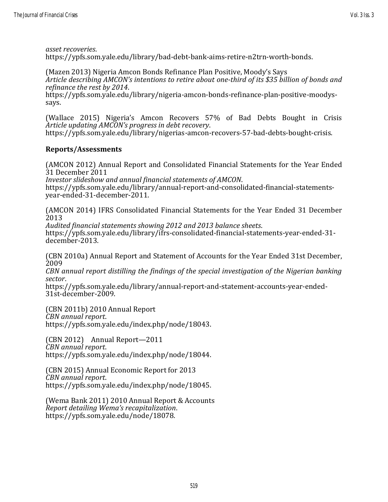(Mazen 2013) Nigeria Amcon Bonds Refinance Plan Positive, Moody's Says *Article describing AMCON's intentions to retire about one-third of its \$35 billion of bonds and refinance the rest by 2014*.

https://ypfs.som.yale.edu/library/nigeria-amcon-bonds-refinance-plan-positive-moodyssays.

(Wallace 2015) Nigeria's Amcon Recovers 57% of Bad Debts Bought in Crisis *Article updating AMCON's progress in debt recovery*.

https://ypfs.som.yale.edu/library/nigerias-amcon-recovers-57-bad-debts-bought-crisis.

## **Reports/Assessments**

(AMCON 2012) Annual Report and Consolidated Financial Statements for the Year Ended 31 December 2011

*Investor slideshow and annual financial statements of AMCON*. https://ypfs.som.yale.edu/library/annual-report-and-consolidated-financial-statementsyear-ended-31-december-2011.

(AMCON 2014) IFRS Consolidated Financial Statements for the Year Ended 31 December 2013

*Audited financial statements showing 2012 and 2013 balance sheets*. https://ypfs.som.yale.edu/library/ifrs-consolidated-financial-statements-year-ended-31 december-2013.

(CBN 2010a) Annual Report and Statement of Accounts for the Year Ended 31st December, 2009

*CBN annual report distilling the findings of the special investigation of the Nigerian banking sector*.

https://ypfs.som.yale.edu/library/annual-report-and-statement-accounts-year-ended-31st-december-2009.

(CBN 2011b) 2010 Annual Report *CBN annual report*. https://ypfs.som.yale.edu/index.php/node/18043.

(CBN 2012) Annual Report—2011 *CBN annual report*. https://ypfs.som.yale.edu/index.php/node/18044.

(CBN 2015) Annual Economic Report for 2013 *CBN annual report*. https://ypfs.som.yale.edu/index.php/node/18045.

(Wema Bank 2011) 2010 Annual Report & Accounts *Report detailing Wema's recapitalization*. https://ypfs.som.yale.edu/node/18078.